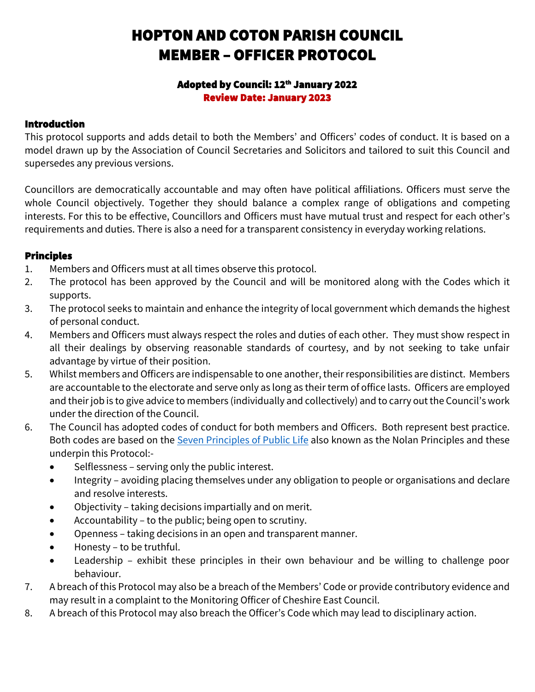# HOPTON AND COTON PARISH COUNCIL MEMBER – OFFICER PROTOCOL

#### Adopted by Council: 12<sup>th</sup> January 2022 Review Date: January 2023

## Introduction

This protocol supports and adds detail to both the Members' and Officers' codes of conduct. It is based on a model drawn up by the Association of Council Secretaries and Solicitors and tailored to suit this Council and supersedes any previous versions.

Councillors are democratically accountable and may often have political affiliations. Officers must serve the whole Council objectively. Together they should balance a complex range of obligations and competing interests. For this to be effective, Councillors and Officers must have mutual trust and respect for each other's requirements and duties. There is also a need for a transparent consistency in everyday working relations.

## Principles

- 1. Members and Officers must at all times observe this protocol.
- 2. The protocol has been approved by the Council and will be monitored along with the Codes which it supports.
- 3. The protocol seeks to maintain and enhance the integrity of local government which demands the highest of personal conduct.
- 4. Members and Officers must always respect the roles and duties of each other. They must show respect in all their dealings by observing reasonable standards of courtesy, and by not seeking to take unfair advantage by virtue of their position.
- 5. Whilst members and Officers are indispensable to one another, their responsibilities are distinct. Members are accountable to the electorate and serve only as long as their term of office lasts. Officers are employed and their job is to give advice to members (individually and collectively) and to carry out the Council's work under the direction of the Council.
- 6. The Council has adopted codes of conduct for both members and Officers. Both represent best practice. Both codes are based on the Seven [Principles](https://www.gov.uk/government/publications/the-7-principles-of-public-life/the-7-principles-of-public-life--2) of Public Life also known as the Nolan Principles and these underpin this Protocol:-
	- Selflessness serving only the public interest.
	- Integrity avoiding placing themselves under any obligation to people or organisations and declare and resolve interests.
	- Objectivity taking decisions impartially and on merit.
	- Accountability to the public; being open to scrutiny.
	- Openness taking decisions in an open and transparent manner.
	- Honesty to be truthful.
	- Leadership exhibit these principles in their own behaviour and be willing to challenge poor behaviour.
- 7. A breach of this Protocol may also be a breach of the Members' Code or provide contributory evidence and may result in a complaint to the Monitoring Officer of Cheshire East Council.
- 8. A breach of this Protocol may also breach the Officer's Code which may lead to disciplinary action.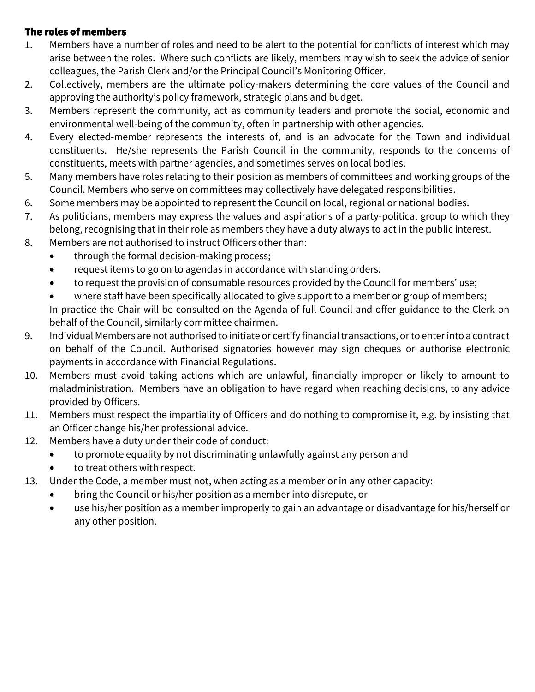#### The roles of members

- 1. Members have a number of roles and need to be alert to the potential for conflicts of interest which may arise between the roles. Where such conflicts are likely, members may wish to seek the advice of senior colleagues, the Parish Clerk and/or the Principal Council's Monitoring Officer.
- 2. Collectively, members are the ultimate policy-makers determining the core values of the Council and approving the authority's policy framework, strategic plans and budget.
- 3. Members represent the community, act as community leaders and promote the social, economic and environmental well-being of the community, often in partnership with other agencies.
- 4. Every elected-member represents the interests of, and is an advocate for the Town and individual constituents. He/she represents the Parish Council in the community, responds to the concerns of constituents, meets with partner agencies, and sometimes serves on local bodies.
- 5. Many members have roles relating to their position as members of committees and working groups of the Council. Members who serve on committees may collectively have delegated responsibilities.
- 6. Some members may be appointed to represent the Council on local, regional or national bodies.
- 7. As politicians, members may express the values and aspirations of a party-political group to which they belong, recognising that in their role as members they have a duty always to act in the public interest.
- 8. Members are not authorised to instruct Officers other than:
	- through the formal decision-making process;
	- request items to go on to agendas in accordance with standing orders.
	- to request the provision of consumable resources provided by the Council for members' use;
	- where staff have been specifically allocated to give support to a member or group of members; In practice the Chair will be consulted on the Agenda of full Council and offer guidance to the Clerk on behalf of the Council, similarly committee chairmen.
- 9. Individual Members are not authorised to initiate or certify financial transactions, or to enter into a contract on behalf of the Council. Authorised signatories however may sign cheques or authorise electronic payments in accordance with Financial Regulations.
- 10. Members must avoid taking actions which are unlawful, financially improper or likely to amount to maladministration. Members have an obligation to have regard when reaching decisions, to any advice provided by Officers.
- 11. Members must respect the impartiality of Officers and do nothing to compromise it, e.g. by insisting that an Officer change his/her professional advice.
- 12. Members have a duty under their code of conduct:
	- to promote equality by not discriminating unlawfully against any person and
	- to treat others with respect.
- 13. Under the Code, a member must not, when acting as a member or in any other capacity:
	- bring the Council or his/her position as a member into disrepute, or
	- use his/her position as a member improperly to gain an advantage or disadvantage for his/herself or any other position.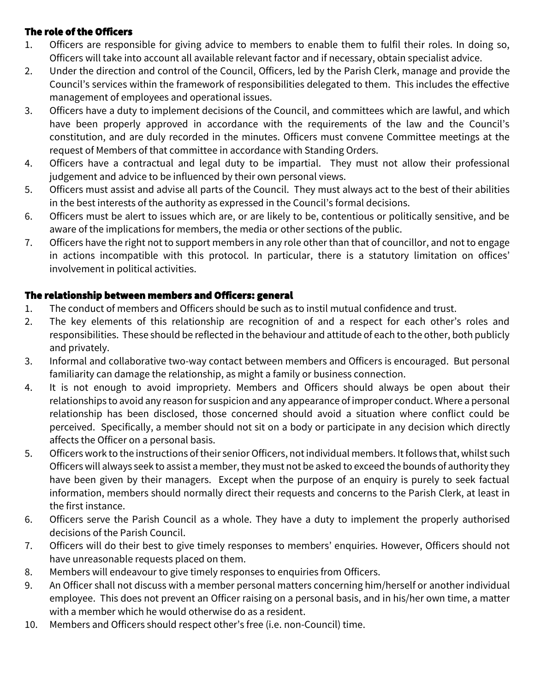## The role of the Officers

- 1. Officers are responsible for giving advice to members to enable them to fulfil their roles. In doing so, Officers will take into account all available relevant factor and if necessary, obtain specialist advice.
- 2. Under the direction and control of the Council, Officers, led by the Parish Clerk, manage and provide the Council's services within the framework of responsibilities delegated to them. This includes the effective management of employees and operational issues.
- 3. Officers have a duty to implement decisions of the Council, and committees which are lawful, and which have been properly approved in accordance with the requirements of the law and the Council's constitution, and are duly recorded in the minutes. Officers must convene Committee meetings at the request of Members of that committee in accordance with Standing Orders.
- 4. Officers have a contractual and legal duty to be impartial. They must not allow their professional judgement and advice to be influenced by their own personal views.
- 5. Officers must assist and advise all parts of the Council. They must always act to the best of their abilities in the best interests of the authority as expressed in the Council's formal decisions.
- 6. Officers must be alert to issues which are, or are likely to be, contentious or politically sensitive, and be aware of the implications for members, the media or other sections of the public.
- 7. Officers have the right not to support members in any role other than that of councillor, and not to engage in actions incompatible with this protocol. In particular, there is a statutory limitation on offices' involvement in political activities.

## The relationship between members and Officers: general

- 1. The conduct of members and Officers should be such as to instil mutual confidence and trust.
- 2. The key elements of this relationship are recognition of and a respect for each other's roles and responsibilities. These should be reflected in the behaviour and attitude of each to the other, both publicly and privately.
- 3. Informal and collaborative two-way contact between members and Officers is encouraged. But personal familiarity can damage the relationship, as might a family or business connection.
- 4. It is not enough to avoid impropriety. Members and Officers should always be open about their relationships to avoid any reason for suspicion and any appearance of improper conduct. Where a personal relationship has been disclosed, those concerned should avoid a situation where conflict could be perceived. Specifically, a member should not sit on a body or participate in any decision which directly affects the Officer on a personal basis.
- 5. Officers work to the instructions of their senior Officers, not individual members. It follows that, whilst such Officers will always seek to assist a member, they must not be asked to exceed the bounds of authority they have been given by their managers. Except when the purpose of an enquiry is purely to seek factual information, members should normally direct their requests and concerns to the Parish Clerk, at least in the first instance.
- 6. Officers serve the Parish Council as a whole. They have a duty to implement the properly authorised decisions of the Parish Council.
- 7. Officers will do their best to give timely responses to members' enquiries. However, Officers should not have unreasonable requests placed on them.
- 8. Members will endeavour to give timely responses to enquiries from Officers.
- 9. An Officer shall not discuss with a member personal matters concerning him/herself or another individual employee. This does not prevent an Officer raising on a personal basis, and in his/her own time, a matter with a member which he would otherwise do as a resident.
- 10. Members and Officers should respect other's free (i.e. non-Council) time.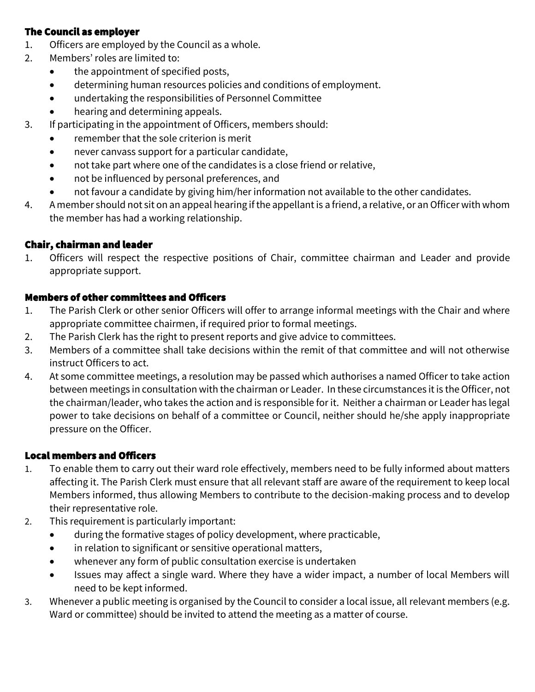#### The Council as employer

- 1. Officers are employed by the Council as a whole.
- 2. Members' roles are limited to:
	- the appointment of specified posts,
	- determining human resources policies and conditions of employment.
	- undertaking the responsibilities of Personnel Committee
	- hearing and determining appeals.
- 3. If participating in the appointment of Officers, members should:
	- remember that the sole criterion is merit
	- never canvass support for a particular candidate,
	- not take part where one of the candidates is a close friend or relative,
	- not be influenced by personal preferences, and
	- not favour a candidate by giving him/her information not available to the other candidates.
- 4. A member should not sit on an appeal hearing if the appellant is a friend, a relative, or an Officer with whom the member has had a working relationship.

## Chair, chairman and leader

1. Officers will respect the respective positions of Chair, committee chairman and Leader and provide appropriate support.

#### Members of other committees and Officers

- 1. The Parish Clerk or other senior Officers will offer to arrange informal meetings with the Chair and where appropriate committee chairmen, if required prior to formal meetings.
- 2. The Parish Clerk has the right to present reports and give advice to committees.
- 3. Members of a committee shall take decisions within the remit of that committee and will not otherwise instruct Officers to act.
- 4. At some committee meetings, a resolution may be passed which authorises a named Officer to take action between meetings in consultation with the chairman or Leader. In these circumstances it is the Officer, not the chairman/leader, who takes the action and is responsible for it. Neither a chairman or Leader has legal power to take decisions on behalf of a committee or Council, neither should he/she apply inappropriate pressure on the Officer.

#### Local members and Officers

- 1. To enable them to carry out their ward role effectively, members need to be fully informed about matters affecting it. The Parish Clerk must ensure that all relevant staff are aware of the requirement to keep local Members informed, thus allowing Members to contribute to the decision-making process and to develop their representative role.
- 2. This requirement is particularly important:
	- during the formative stages of policy development, where practicable,
	- in relation to significant or sensitive operational matters,
	- whenever any form of public consultation exercise is undertaken
	- Issues may affect a single ward. Where they have a wider impact, a number of local Members will need to be kept informed.
- 3. Whenever a public meeting is organised by the Council to consider a local issue, all relevant members (e.g. Ward or committee) should be invited to attend the meeting as a matter of course.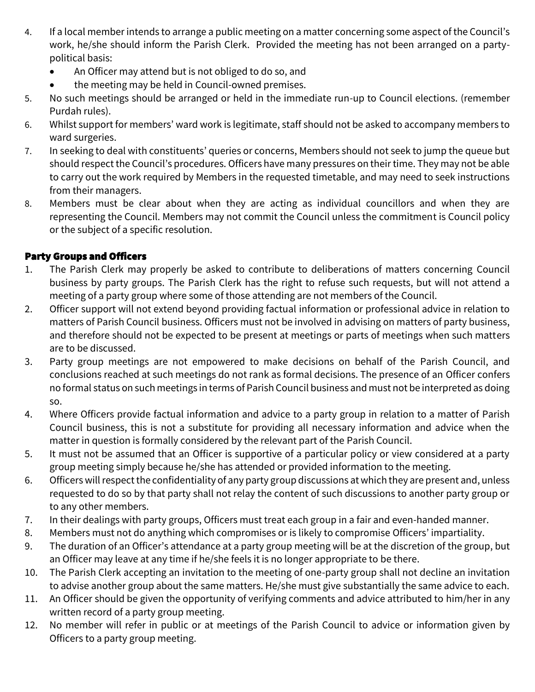- 4. If a local member intends to arrange a public meeting on a matter concerning some aspect of the Council's work, he/she should inform the Parish Clerk. Provided the meeting has not been arranged on a partypolitical basis:
	- An Officer may attend but is not obliged to do so, and
	- the meeting may be held in Council-owned premises.
- 5. No such meetings should be arranged or held in the immediate run-up to Council elections. (remember Purdah rules).
- 6. Whilst support for members' ward work is legitimate, staff should not be asked to accompany members to ward surgeries.
- 7. In seeking to deal with constituents' queries or concerns, Members should not seek to jump the queue but should respect the Council's procedures. Officers have many pressures on their time. They may not be able to carry out the work required by Members in the requested timetable, and may need to seek instructions from their managers.
- 8. Members must be clear about when they are acting as individual councillors and when they are representing the Council. Members may not commit the Council unless the commitment is Council policy or the subject of a specific resolution.

# Party Groups and Officers

- 1. The Parish Clerk may properly be asked to contribute to deliberations of matters concerning Council business by party groups. The Parish Clerk has the right to refuse such requests, but will not attend a meeting of a party group where some of those attending are not members of the Council.
- 2. Officer support will not extend beyond providing factual information or professional advice in relation to matters of Parish Council business. Officers must not be involved in advising on matters of party business, and therefore should not be expected to be present at meetings or parts of meetings when such matters are to be discussed.
- 3. Party group meetings are not empowered to make decisions on behalf of the Parish Council, and conclusions reached at such meetings do not rank as formal decisions. The presence of an Officer confers no formal status on such meetings in terms of Parish Council business and must not be interpreted as doing so.
- 4. Where Officers provide factual information and advice to a party group in relation to a matter of Parish Council business, this is not a substitute for providing all necessary information and advice when the matter in question is formally considered by the relevant part of the Parish Council.
- 5. It must not be assumed that an Officer is supportive of a particular policy or view considered at a party group meeting simply because he/she has attended or provided information to the meeting.
- 6. Officers will respect the confidentiality of any party group discussions at which they are present and, unless requested to do so by that party shall not relay the content of such discussions to another party group or to any other members.
- 7. In their dealings with party groups, Officers must treat each group in a fair and even-handed manner.
- 8. Members must not do anything which compromises or is likely to compromise Officers' impartiality.
- 9. The duration of an Officer's attendance at a party group meeting will be at the discretion of the group, but an Officer may leave at any time if he/she feels it is no longer appropriate to be there.
- 10. The Parish Clerk accepting an invitation to the meeting of one-party group shall not decline an invitation to advise another group about the same matters. He/she must give substantially the same advice to each.
- 11. An Officer should be given the opportunity of verifying comments and advice attributed to him/her in any written record of a party group meeting.
- 12. No member will refer in public or at meetings of the Parish Council to advice or information given by Officers to a party group meeting.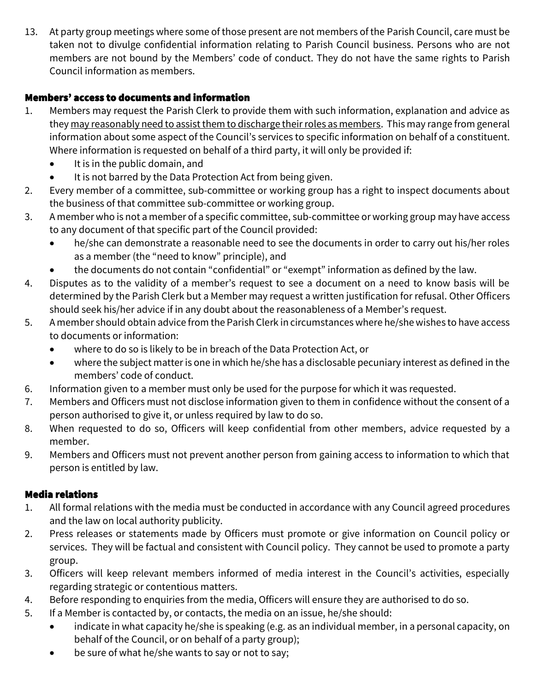13. At party group meetings where some of those present are not members of the Parish Council, care must be taken not to divulge confidential information relating to Parish Council business. Persons who are not members are not bound by the Members' code of conduct. They do not have the same rights to Parish Council information as members.

# Members' access to documents and information

- 1. Members may request the Parish Clerk to provide them with such information, explanation and advice as they may reasonably need to assist them to discharge their roles as members. This may range from general information about some aspect of the Council's services to specific information on behalf of a constituent. Where information is requested on behalf of a third party, it will only be provided if:
	- It is in the public domain, and
	- It is not barred by the Data Protection Act from being given.
- 2. Every member of a committee, sub-committee or working group has a right to inspect documents about the business of that committee sub-committee or working group.
- 3. A member who is not a member of a specific committee, sub-committee or working group may have access to any document of that specific part of the Council provided:
	- he/she can demonstrate a reasonable need to see the documents in order to carry out his/her roles as a member (the "need to know" principle), and
	- the documents do not contain "confidential" or "exempt" information as defined by the law.
- 4. Disputes as to the validity of a member's request to see a document on a need to know basis will be determined by the Parish Clerk but a Member may request a written justification for refusal. Other Officers should seek his/her advice if in any doubt about the reasonableness of a Member's request.
- 5. A member should obtain advice from the Parish Clerk in circumstances where he/she wishes to have access to documents or information:
	- where to do so is likely to be in breach of the Data Protection Act, or
	- where the subject matter is one in which he/she has a disclosable pecuniary interest as defined in the members' code of conduct.
- 6. Information given to a member must only be used for the purpose for which it was requested.
- 7. Members and Officers must not disclose information given to them in confidence without the consent of a person authorised to give it, or unless required by law to do so.
- 8. When requested to do so, Officers will keep confidential from other members, advice requested by a member.
- 9. Members and Officers must not prevent another person from gaining access to information to which that person is entitled by law.

# Media relations

- 1. All formal relations with the media must be conducted in accordance with any Council agreed procedures and the law on local authority publicity.
- 2. Press releases or statements made by Officers must promote or give information on Council policy or services. They will be factual and consistent with Council policy. They cannot be used to promote a party group.
- 3. Officers will keep relevant members informed of media interest in the Council's activities, especially regarding strategic or contentious matters.
- 4. Before responding to enquiries from the media, Officers will ensure they are authorised to do so.
- 5. If a Member is contacted by, or contacts, the media on an issue, he/she should:
	- indicate in what capacity he/she is speaking (e.g. as an individual member, in a personal capacity, on behalf of the Council, or on behalf of a party group);
	- be sure of what he/she wants to say or not to say;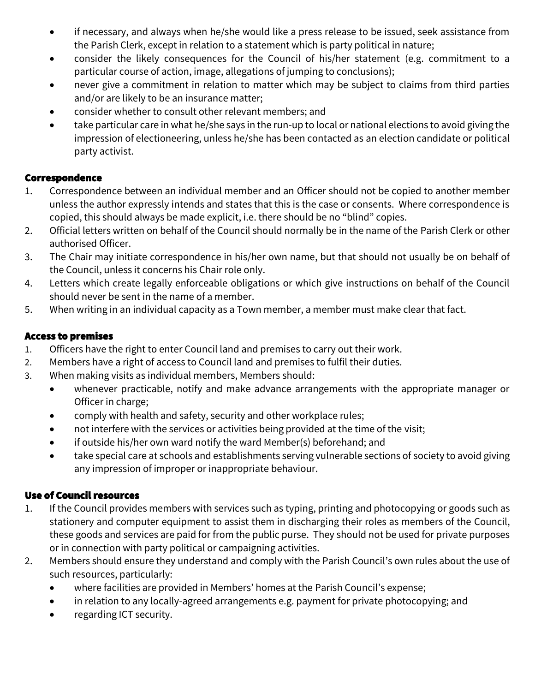- if necessary, and always when he/she would like a press release to be issued, seek assistance from the Parish Clerk, except in relation to a statement which is party political in nature;
- consider the likely consequences for the Council of his/her statement (e.g. commitment to a particular course of action, image, allegations of jumping to conclusions);
- never give a commitment in relation to matter which may be subject to claims from third parties and/or are likely to be an insurance matter;
- consider whether to consult other relevant members; and
- take particular care in what he/she says in the run-up to local or national elections to avoid giving the impression of electioneering, unless he/she has been contacted as an election candidate or political party activist.

#### Correspondence

- 1. Correspondence between an individual member and an Officer should not be copied to another member unless the author expressly intends and states that this is the case or consents. Where correspondence is copied, this should always be made explicit, i.e. there should be no "blind" copies.
- 2. Official letters written on behalf of the Council should normally be in the name of the Parish Clerk or other authorised Officer.
- 3. The Chair may initiate correspondence in his/her own name, but that should not usually be on behalf of the Council, unless it concerns his Chair role only.
- 4. Letters which create legally enforceable obligations or which give instructions on behalf of the Council should never be sent in the name of a member.
- 5. When writing in an individual capacity as a Town member, a member must make clear that fact.

#### Access to premises

- 1. Officers have the right to enter Council land and premises to carry out their work.
- 2. Members have a right of access to Council land and premises to fulfil their duties.
- 3. When making visits as individual members, Members should:
	- whenever practicable, notify and make advance arrangements with the appropriate manager or Officer in charge;
	- comply with health and safety, security and other workplace rules;
	- not interfere with the services or activities being provided at the time of the visit;
	- if outside his/her own ward notify the ward Member(s) beforehand; and
	- take special care at schools and establishments serving vulnerable sections of society to avoid giving any impression of improper or inappropriate behaviour.

#### Use of Council resources

- 1. If the Council provides members with services such as typing, printing and photocopying or goods such as stationery and computer equipment to assist them in discharging their roles as members of the Council, these goods and services are paid for from the public purse. They should not be used for private purposes or in connection with party political or campaigning activities.
- 2. Members should ensure they understand and comply with the Parish Council's own rules about the use of such resources, particularly:
	- where facilities are provided in Members' homes at the Parish Council's expense;
	- in relation to any locally-agreed arrangements e.g. payment for private photocopying; and
	- regarding ICT security.